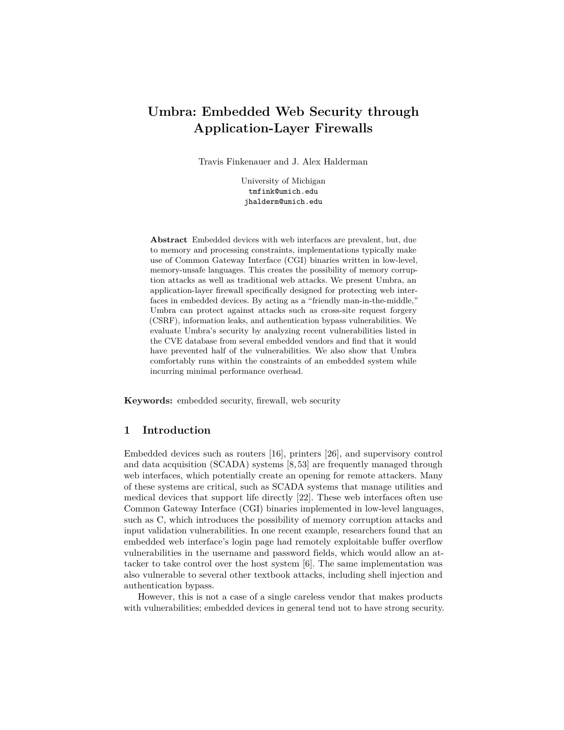# **Umbra: Embedded Web Security through Application-Layer Firewalls**

Travis Finkenauer and J. Alex Halderman

University of Michigan tmfink@umich.edu jhalderm@umich.edu

**Abstract** Embedded devices with web interfaces are prevalent, but, due to memory and processing constraints, implementations typically make use of Common Gateway Interface (CGI) binaries written in low-level, memory-unsafe languages. This creates the possibility of memory corruption attacks as well as traditional web attacks. We present Umbra, an application-layer firewall specifically designed for protecting web interfaces in embedded devices. By acting as a "friendly man-in-the-middle," Umbra can protect against attacks such as cross-site request forgery (CSRF), information leaks, and authentication bypass vulnerabilities. We evaluate Umbra's security by analyzing recent vulnerabilities listed in the CVE database from several embedded vendors and find that it would have prevented half of the vulnerabilities. We also show that Umbra comfortably runs within the constraints of an embedded system while incurring minimal performance overhead.

**Keywords:** embedded security, firewall, web security

# **1 Introduction**

Embedded devices such as routers [\[16\]](#page-13-0), printers [\[26\]](#page-13-1), and supervisory control and data acquisition (SCADA) systems [\[8,](#page-12-0) [53\]](#page-14-0) are frequently managed through web interfaces, which potentially create an opening for remote attackers. Many of these systems are critical, such as SCADA systems that manage utilities and medical devices that support life directly [\[22\]](#page-13-2). These web interfaces often use Common Gateway Interface (CGI) binaries implemented in low-level languages, such as C, which introduces the possibility of memory corruption attacks and input validation vulnerabilities. In one recent example, researchers found that an embedded web interface's login page had remotely exploitable buffer overflow vulnerabilities in the username and password fields, which would allow an attacker to take control over the host system [\[6\]](#page-12-1). The same implementation was also vulnerable to several other textbook attacks, including shell injection and authentication bypass.

However, this is not a case of a single careless vendor that makes products with vulnerabilities; embedded devices in general tend not to have strong security.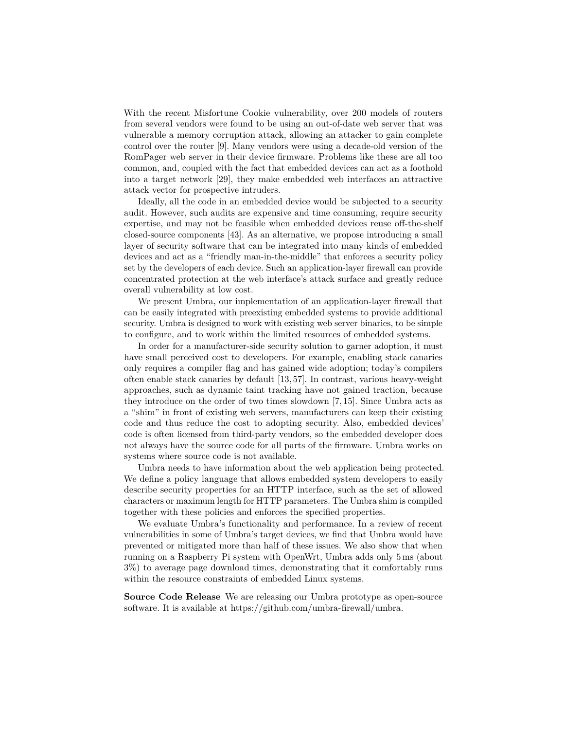With the recent Misfortune Cookie vulnerability, over 200 models of routers from several vendors were found to be using an out-of-date web server that was vulnerable a memory corruption attack, allowing an attacker to gain complete control over the router [\[9\]](#page-12-2). Many vendors were using a decade-old version of the RomPager web server in their device firmware. Problems like these are all too common, and, coupled with the fact that embedded devices can act as a foothold into a target network [\[29\]](#page-13-3), they make embedded web interfaces an attractive attack vector for prospective intruders.

Ideally, all the code in an embedded device would be subjected to a security audit. However, such audits are expensive and time consuming, require security expertise, and may not be feasible when embedded devices reuse off-the-shelf closed-source components [\[43\]](#page-14-1). As an alternative, we propose introducing a small layer of security software that can be integrated into many kinds of embedded devices and act as a "friendly man-in-the-middle" that enforces a security policy set by the developers of each device. Such an application-layer firewall can provide concentrated protection at the web interface's attack surface and greatly reduce overall vulnerability at low cost.

We present Umbra, our implementation of an application-layer firewall that can be easily integrated with preexisting embedded systems to provide additional security. Umbra is designed to work with existing web server binaries, to be simple to configure, and to work within the limited resources of embedded systems.

In order for a manufacturer-side security solution to garner adoption, it must have small perceived cost to developers. For example, enabling stack canaries only requires a compiler flag and has gained wide adoption; today's compilers often enable stack canaries by default [\[13,](#page-12-3) [57\]](#page-14-2). In contrast, various heavy-weight approaches, such as dynamic taint tracking have not gained traction, because they introduce on the order of two times slowdown [\[7,](#page-12-4) [15\]](#page-13-4). Since Umbra acts as a "shim" in front of existing web servers, manufacturers can keep their existing code and thus reduce the cost to adopting security. Also, embedded devices' code is often licensed from third-party vendors, so the embedded developer does not always have the source code for all parts of the firmware. Umbra works on systems where source code is not available.

Umbra needs to have information about the web application being protected. We define a policy language that allows embedded system developers to easily describe security properties for an HTTP interface, such as the set of allowed characters or maximum length for HTTP parameters. The Umbra shim is compiled together with these policies and enforces the specified properties.

We evaluate Umbra's functionality and performance. In a review of recent vulnerabilities in some of Umbra's target devices, we find that Umbra would have prevented or mitigated more than half of these issues. We also show that when running on a Raspberry Pi system with OpenWrt, Umbra adds only 5 ms (about 3%) to average page download times, demonstrating that it comfortably runs within the resource constraints of embedded Linux systems.

**Source Code Release** We are releasing our Umbra prototype as open-source software. It is available at [https://github.com/umbra-firewall/umbra.](https://github.com/umbra-firewall/umbra)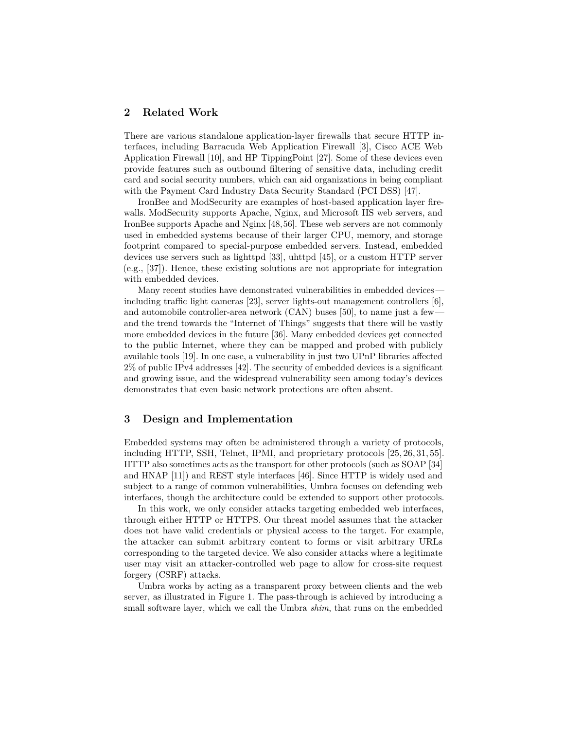# **2 Related Work**

There are various standalone application-layer firewalls that secure HTTP interfaces, including Barracuda Web Application Firewall [\[3\]](#page-12-5), Cisco ACE Web Application Firewall [\[10\]](#page-12-6), and HP TippingPoint [\[27\]](#page-13-5). Some of these devices even provide features such as outbound filtering of sensitive data, including credit card and social security numbers, which can aid organizations in being compliant with the Payment Card Industry Data Security Standard (PCI DSS) [\[47\]](#page-14-3).

IronBee and ModSecurity are examples of host-based application layer firewalls. ModSecurity supports Apache, Nginx, and Microsoft IIS web servers, and IronBee supports Apache and Nginx [\[48,](#page-14-4)[56\]](#page-14-5). These web servers are not commonly used in embedded systems because of their larger CPU, memory, and storage footprint compared to special-purpose embedded servers. Instead, embedded devices use servers such as lighttpd [\[33\]](#page-13-6), uhttpd [\[45\]](#page-14-6), or a custom HTTP server (e.g., [\[37\]](#page-14-7)). Hence, these existing solutions are not appropriate for integration with embedded devices.

Many recent studies have demonstrated vulnerabilities in embedded devices including traffic light cameras [\[23\]](#page-13-7), server lights-out management controllers [\[6\]](#page-12-1), and automobile controller-area network (CAN) buses [\[50\]](#page-14-8), to name just a few and the trend towards the "Internet of Things" suggests that there will be vastly more embedded devices in the future [\[36\]](#page-14-9). Many embedded devices get connected to the public Internet, where they can be mapped and probed with publicly available tools [\[19\]](#page-13-8). In one case, a vulnerability in just two UPnP libraries affected 2% of public IPv4 addresses [\[42\]](#page-14-10). The security of embedded devices is a significant and growing issue, and the widespread vulnerability seen among today's devices demonstrates that even basic network protections are often absent.

## **3 Design and Implementation**

Embedded systems may often be administered through a variety of protocols, including HTTP, SSH, Telnet, IPMI, and proprietary protocols [\[25,](#page-13-9) [26,](#page-13-1) [31,](#page-13-10) [55\]](#page-14-11). HTTP also sometimes acts as the transport for other protocols (such as SOAP [\[34\]](#page-13-11) and HNAP [\[11\]](#page-12-7)) and REST style interfaces [\[46\]](#page-14-12). Since HTTP is widely used and subject to a range of common vulnerabilities, Umbra focuses on defending web interfaces, though the architecture could be extended to support other protocols.

In this work, we only consider attacks targeting embedded web interfaces, through either HTTP or HTTPS. Our threat model assumes that the attacker does not have valid credentials or physical access to the target. For example, the attacker can submit arbitrary content to forms or visit arbitrary URLs corresponding to the targeted device. We also consider attacks where a legitimate user may visit an attacker-controlled web page to allow for cross-site request forgery (CSRF) attacks.

Umbra works by acting as a transparent proxy between clients and the web server, as illustrated in Figure [1.](#page-3-0) The pass-through is achieved by introducing a small software layer, which we call the Umbra *shim*, that runs on the embedded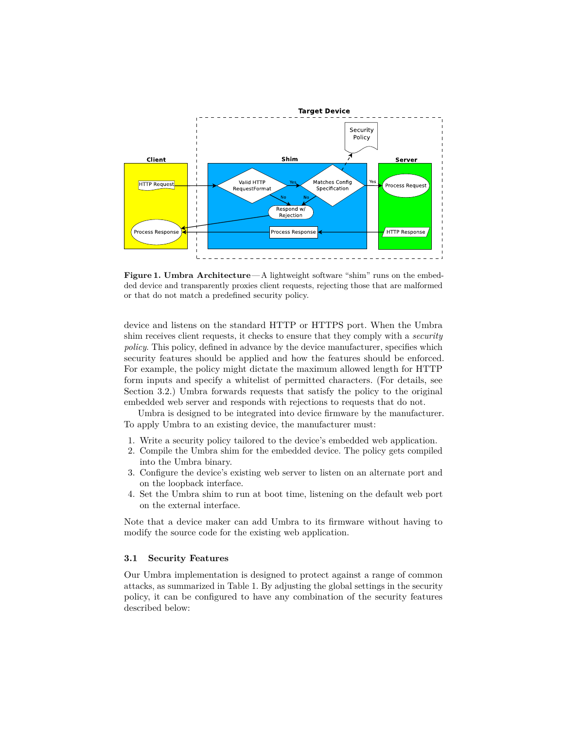<span id="page-3-0"></span>

**Figure 1. Umbra Architecture**—A lightweight software "shim" runs on the embedded device and transparently proxies client requests, rejecting those that are malformed or that do not match a predefined security policy.

device and listens on the standard HTTP or HTTPS port. When the Umbra shim receives client requests, it checks to ensure that they comply with a *security policy*. This policy, defined in advance by the device manufacturer, specifies which security features should be applied and how the features should be enforced. For example, the policy might dictate the maximum allowed length for HTTP form inputs and specify a whitelist of permitted characters. (For details, see Section [3.2.](#page-6-0)) Umbra forwards requests that satisfy the policy to the original embedded web server and responds with rejections to requests that do not.

Umbra is designed to be integrated into device firmware by the manufacturer. To apply Umbra to an existing device, the manufacturer must:

- 1. Write a security policy tailored to the device's embedded web application.
- 2. Compile the Umbra shim for the embedded device. The policy gets compiled into the Umbra binary.
- 3. Configure the device's existing web server to listen on an alternate port and on the loopback interface.
- 4. Set the Umbra shim to run at boot time, listening on the default web port on the external interface.

Note that a device maker can add Umbra to its firmware without having to modify the source code for the existing web application.

#### **3.1 Security Features**

Our Umbra implementation is designed to protect against a range of common attacks, as summarized in Table [1.](#page-4-0) By adjusting the global settings in the security policy, it can be configured to have any combination of the security features described below: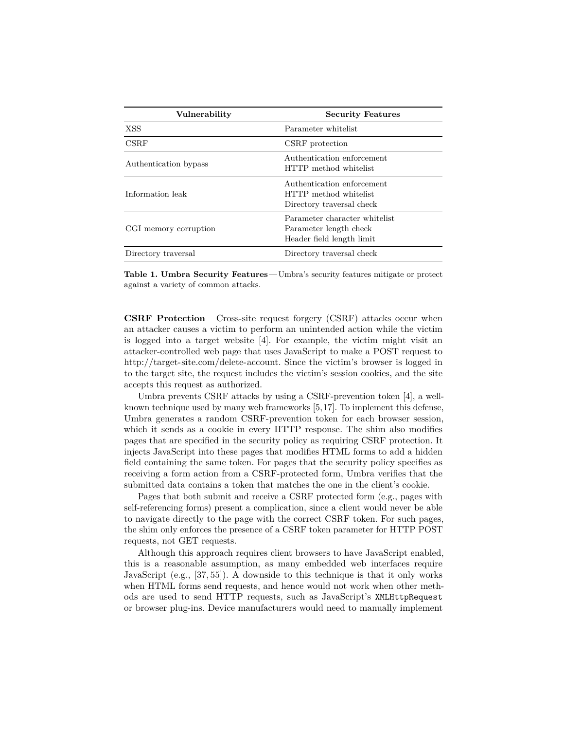<span id="page-4-0"></span>

| Vulnerability         | <b>Security Features</b>                                                             |  |  |  |
|-----------------------|--------------------------------------------------------------------------------------|--|--|--|
| <b>XSS</b>            | Parameter whitelist                                                                  |  |  |  |
| <b>CSRF</b>           | CSRF protection                                                                      |  |  |  |
| Authentication bypass | Authentication enforcement<br>HTTP method whitelist                                  |  |  |  |
| Information leak      | Authentication enforcement<br>HTTP method whitelist<br>Directory traversal check     |  |  |  |
| CGI memory corruption | Parameter character whitelist<br>Parameter length check<br>Header field length limit |  |  |  |
| Directory traversal   | Directory traversal check                                                            |  |  |  |

**Table 1. Umbra Security Features**—Umbra's security features mitigate or protect against a variety of common attacks.

<span id="page-4-1"></span>**CSRF Protection** Cross-site request forgery (CSRF) attacks occur when an attacker causes a victim to perform an unintended action while the victim is logged into a target website [\[4\]](#page-12-8). For example, the victim might visit an attacker-controlled web page that uses JavaScript to make a POST request to [http://target-site.com/delete-account.](http://target-site.com/delete-account) Since the victim's browser is logged in to the target site, the request includes the victim's session cookies, and the site accepts this request as authorized.

Umbra prevents CSRF attacks by using a CSRF-prevention token [\[4\]](#page-12-8), a wellknown technique used by many web frameworks [\[5,](#page-12-9)[17\]](#page-13-12). To implement this defense, Umbra generates a random CSRF-prevention token for each browser session, which it sends as a cookie in every HTTP response. The shim also modifies pages that are specified in the security policy as requiring CSRF protection. It injects JavaScript into these pages that modifies HTML forms to add a hidden field containing the same token. For pages that the security policy specifies as receiving a form action from a CSRF-protected form, Umbra verifies that the submitted data contains a token that matches the one in the client's cookie.

Pages that both submit and receive a CSRF protected form (e.g., pages with self-referencing forms) present a complication, since a client would never be able to navigate directly to the page with the correct CSRF token. For such pages, the shim only enforces the presence of a CSRF token parameter for HTTP POST requests, not GET requests.

Although this approach requires client browsers to have JavaScript enabled, this is a reasonable assumption, as many embedded web interfaces require JavaScript (e.g., [\[37,](#page-14-7) [55\]](#page-14-11)). A downside to this technique is that it only works when HTML forms send requests, and hence would not work when other methods are used to send HTTP requests, such as JavaScript's XMLHttpRequest or browser plug-ins. Device manufacturers would need to manually implement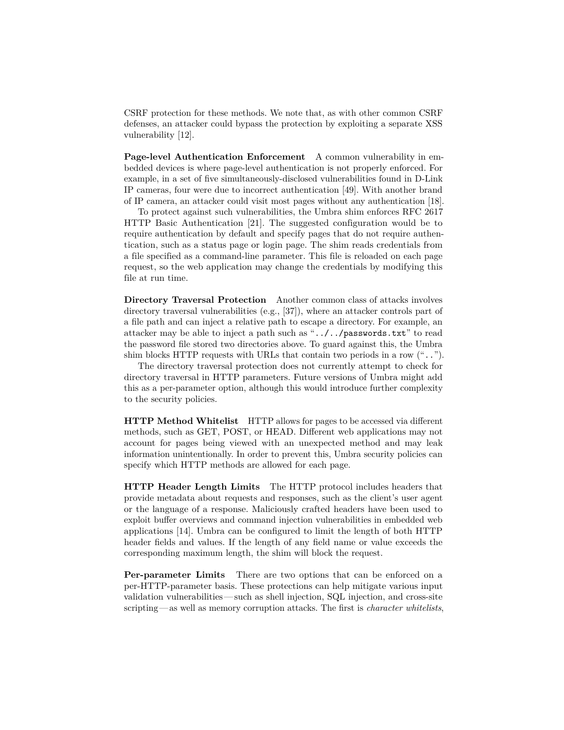CSRF protection for these methods. We note that, as with other common CSRF defenses, an attacker could bypass the protection by exploiting a separate XSS vulnerability [\[12\]](#page-12-10).

**Page-level Authentication Enforcement** A common vulnerability in embedded devices is where page-level authentication is not properly enforced. For example, in a set of five simultaneously-disclosed vulnerabilities found in D-Link IP cameras, four were due to incorrect authentication [\[49\]](#page-14-13). With another brand of IP camera, an attacker could visit most pages without any authentication [\[18\]](#page-13-13).

To protect against such vulnerabilities, the Umbra shim enforces RFC 2617 HTTP Basic Authentication [\[21\]](#page-13-14). The suggested configuration would be to require authentication by default and specify pages that do not require authentication, such as a status page or login page. The shim reads credentials from a file specified as a command-line parameter. This file is reloaded on each page request, so the web application may change the credentials by modifying this file at run time.

**Directory Traversal Protection** Another common class of attacks involves directory traversal vulnerabilities (e.g., [\[37\]](#page-14-7)), where an attacker controls part of a file path and can inject a relative path to escape a directory. For example, an attacker may be able to inject a path such as "../../passwords.txt" to read the password file stored two directories above. To guard against this, the Umbra shim blocks HTTP requests with URLs that contain two periods in a row  $($ "...").

The directory traversal protection does not currently attempt to check for directory traversal in HTTP parameters. Future versions of Umbra might add this as a per-parameter option, although this would introduce further complexity to the security policies.

**HTTP Method Whitelist** HTTP allows for pages to be accessed via different methods, such as GET, POST, or HEAD. Different web applications may not account for pages being viewed with an unexpected method and may leak information unintentionally. In order to prevent this, Umbra security policies can specify which HTTP methods are allowed for each page.

**HTTP Header Length Limits** The HTTP protocol includes headers that provide metadata about requests and responses, such as the client's user agent or the language of a response. Maliciously crafted headers have been used to exploit buffer overviews and command injection vulnerabilities in embedded web applications [\[14\]](#page-12-11). Umbra can be configured to limit the length of both HTTP header fields and values. If the length of any field name or value exceeds the corresponding maximum length, the shim will block the request.

**Per-parameter Limits** There are two options that can be enforced on a per-HTTP-parameter basis. These protections can help mitigate various input validation vulnerabilities— such as shell injection, SQL injection, and cross-site scripting— as well as memory corruption attacks. The first is *character whitelists*,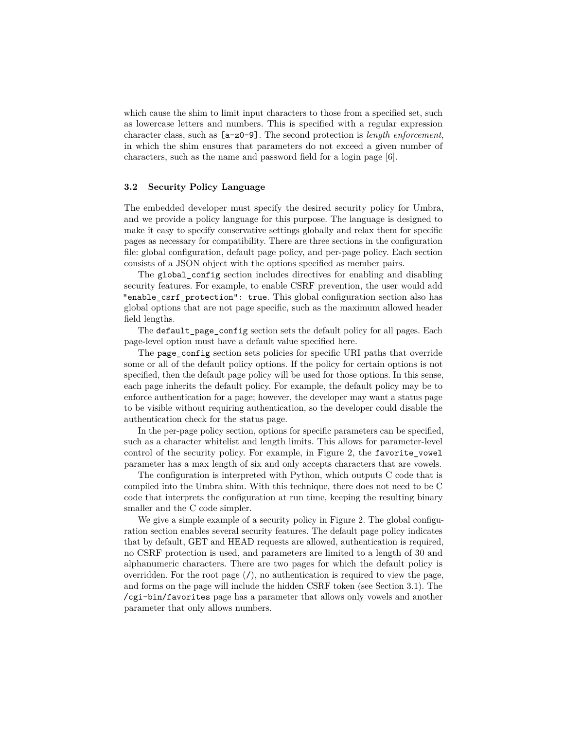which cause the shim to limit input characters to those from a specified set, such as lowercase letters and numbers. This is specified with a regular expression character class, such as [a-z0-9]. The second protection is *length enforcement*, in which the shim ensures that parameters do not exceed a given number of characters, such as the name and password field for a login page [\[6\]](#page-12-1).

#### <span id="page-6-0"></span>**3.2 Security Policy Language**

The embedded developer must specify the desired security policy for Umbra, and we provide a policy language for this purpose. The language is designed to make it easy to specify conservative settings globally and relax them for specific pages as necessary for compatibility. There are three sections in the configuration file: global configuration, default page policy, and per-page policy. Each section consists of a JSON object with the options specified as member pairs.

The global config section includes directives for enabling and disabling security features. For example, to enable CSRF prevention, the user would add "enable csrf protection": true. This global configuration section also has global options that are not page specific, such as the maximum allowed header field lengths.

The default\_page\_config section sets the default policy for all pages. Each page-level option must have a default value specified here.

The page config section sets policies for specific URI paths that override some or all of the default policy options. If the policy for certain options is not specified, then the default page policy will be used for those options. In this sense, each page inherits the default policy. For example, the default policy may be to enforce authentication for a page; however, the developer may want a status page to be visible without requiring authentication, so the developer could disable the authentication check for the status page.

In the per-page policy section, options for specific parameters can be specified, such as a character whitelist and length limits. This allows for parameter-level control of the security policy. For example, in Figure [2,](#page-7-0) the favorite vowel parameter has a max length of six and only accepts characters that are vowels.

The configuration is interpreted with Python, which outputs C code that is compiled into the Umbra shim. With this technique, there does not need to be C code that interprets the configuration at run time, keeping the resulting binary smaller and the C code simpler.

We give a simple example of a security policy in Figure [2.](#page-7-0) The global configuration section enables several security features. The default page policy indicates that by default, GET and HEAD requests are allowed, authentication is required, no CSRF protection is used, and parameters are limited to a length of 30 and alphanumeric characters. There are two pages for which the default policy is overridden. For the root page  $($ , no authentication is required to view the page, and forms on the page will include the hidden CSRF token (see Section [3.1\)](#page-4-1). The /cgi-bin/favorites page has a parameter that allows only vowels and another parameter that only allows numbers.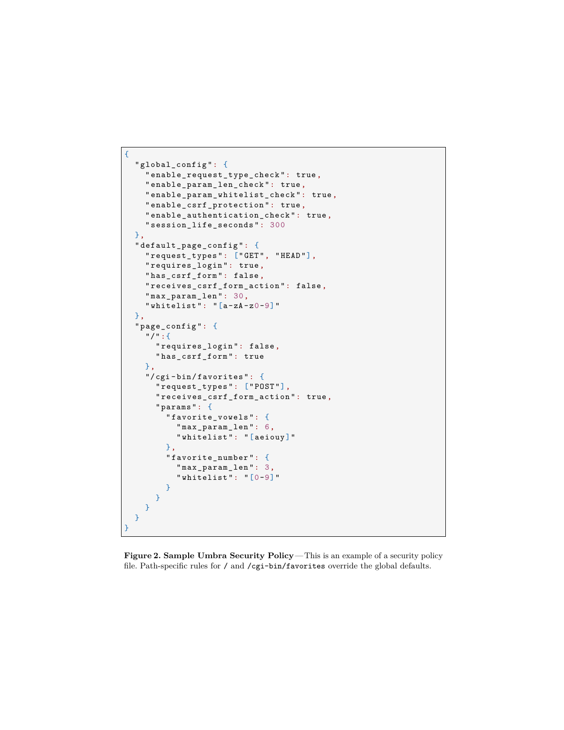```
{
  " global_config ": {
    " enable_request_type_check ": true ,
    " enable_param_len_check ": true ,
    " enable_param_whitelist_check ": true ,
    " enable_csrf_protection ": true ,
    " enable_authentication_check ": true ,
    " session_life_seconds ": 300
  },
  " default_page_config ": {
    " request_types ": [" GET ", " HEAD "],
    " requires_login ": true ,
    "has_csrf_form": false,
    " receives_csrf_form_action ": false ,
    " max_param_len ": 30,
    " whitelist": "[a-zA-z0-9]"
  },
  " page_config ": {
    "/":{
       " requires_login ": false ,
       " has_csrf_form ": true
    },
    "/ cgi - bin / favorites ": {
      " request_types ": [" POST "],
      " receives_csrf_form_action ": true ,
       " params ": {
         " favorite_vowels ": {
           " max_param_len ": 6,
           " whitelist ": "[ aeiouy ]"
         },
         " favorite_number ": {
           " max_param_len ": 3,
           " whitelist ": "[0-9]"
         }
      }
    }
  }
}
```
**Figure 2. Sample Umbra Security Policy**— This is an example of a security policy file. Path-specific rules for / and /cgi-bin/favorites override the global defaults.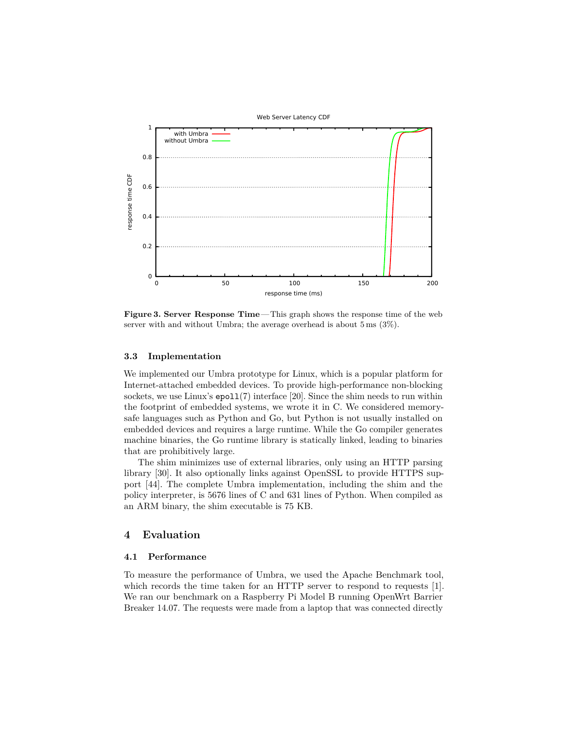<span id="page-8-0"></span>

**Figure 3. Server Response Time**— This graph shows the response time of the web server with and without Umbra; the average overhead is about 5 ms (3%).

#### **3.3 Implementation**

We implemented our Umbra prototype for Linux, which is a popular platform for Internet-attached embedded devices. To provide high-performance non-blocking sockets, we use Linux's epoll(7) interface [\[20\]](#page-13-15). Since the shim needs to run within the footprint of embedded systems, we wrote it in C. We considered memorysafe languages such as Python and Go, but Python is not usually installed on embedded devices and requires a large runtime. While the Go compiler generates machine binaries, the Go runtime library is statically linked, leading to binaries that are prohibitively large.

The shim minimizes use of external libraries, only using an HTTP parsing library [\[30\]](#page-13-16). It also optionally links against OpenSSL to provide HTTPS support [\[44\]](#page-14-14). The complete Umbra implementation, including the shim and the policy interpreter, is 5676 lines of C and 631 lines of Python. When compiled as an ARM binary, the shim executable is 75 KB.

#### **4 Evaluation**

#### **4.1 Performance**

To measure the performance of Umbra, we used the Apache Benchmark tool, which records the time taken for an HTTP server to respond to requests [\[1\]](#page-12-12). We ran our benchmark on a Raspberry Pi Model B running OpenWrt Barrier Breaker 14.07. The requests were made from a laptop that was connected directly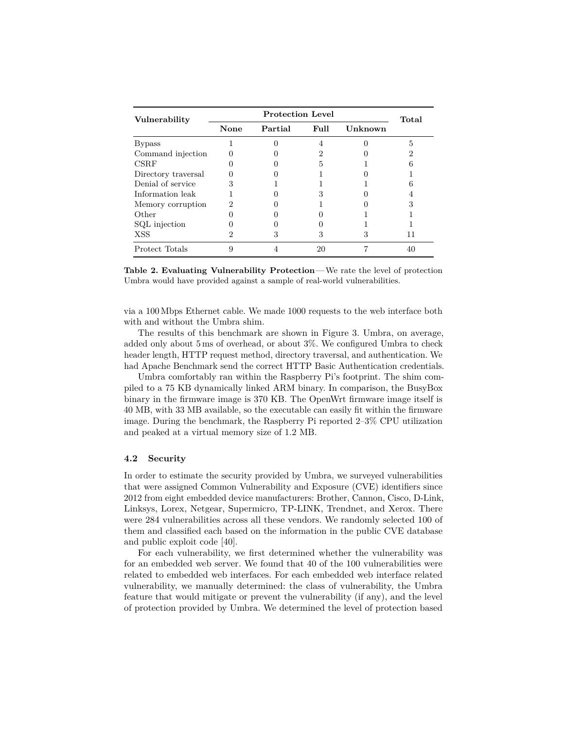<span id="page-9-0"></span>

| Vulnerability       |      | Total   |      |         |    |
|---------------------|------|---------|------|---------|----|
|                     | None | Partial | Full | Unknown |    |
| <b>Bypass</b>       |      |         |      |         | 5  |
| Command injection   |      |         |      |         |    |
| <b>CSRF</b>         |      |         |      |         |    |
| Directory traversal |      |         |      |         |    |
| Denial of service   | 3    |         |      |         |    |
| Information leak    |      |         |      |         |    |
| Memory corruption   |      |         |      |         |    |
| Other               |      |         |      |         |    |
| SQL injection       |      |         |      |         |    |
| XSS                 |      |         |      |         |    |
| Protect Totals      | 9    |         | 20   |         | 40 |

**Table 2. Evaluating Vulnerability Protection**—We rate the level of protection Umbra would have provided against a sample of real-world vulnerabilities.

via a 100 Mbps Ethernet cable. We made 1000 requests to the web interface both with and without the Umbra shim.

The results of this benchmark are shown in Figure [3.](#page-8-0) Umbra, on average, added only about 5 ms of overhead, or about 3%. We configured Umbra to check header length, HTTP request method, directory traversal, and authentication. We had Apache Benchmark send the correct HTTP Basic Authentication credentials.

Umbra comfortably ran within the Raspberry Pi's footprint. The shim compiled to a 75 KB dynamically linked ARM binary. In comparison, the BusyBox binary in the firmware image is 370 KB. The OpenWrt firmware image itself is 40 MB, with 33 MB available, so the executable can easily fit within the firmware image. During the benchmark, the Raspberry Pi reported 2–3% CPU utilization and peaked at a virtual memory size of 1.2 MB.

#### **4.2 Security**

In order to estimate the security provided by Umbra, we surveyed vulnerabilities that were assigned Common Vulnerability and Exposure (CVE) identifiers since 2012 from eight embedded device manufacturers: Brother, Cannon, Cisco, D-Link, Linksys, Lorex, Netgear, Supermicro, TP-LINK, Trendnet, and Xerox. There were 284 vulnerabilities across all these vendors. We randomly selected 100 of them and classified each based on the information in the public CVE database and public exploit code [\[40\]](#page-14-15).

For each vulnerability, we first determined whether the vulnerability was for an embedded web server. We found that 40 of the 100 vulnerabilities were related to embedded web interfaces. For each embedded web interface related vulnerability, we manually determined: the class of vulnerability, the Umbra feature that would mitigate or prevent the vulnerability (if any), and the level of protection provided by Umbra. We determined the level of protection based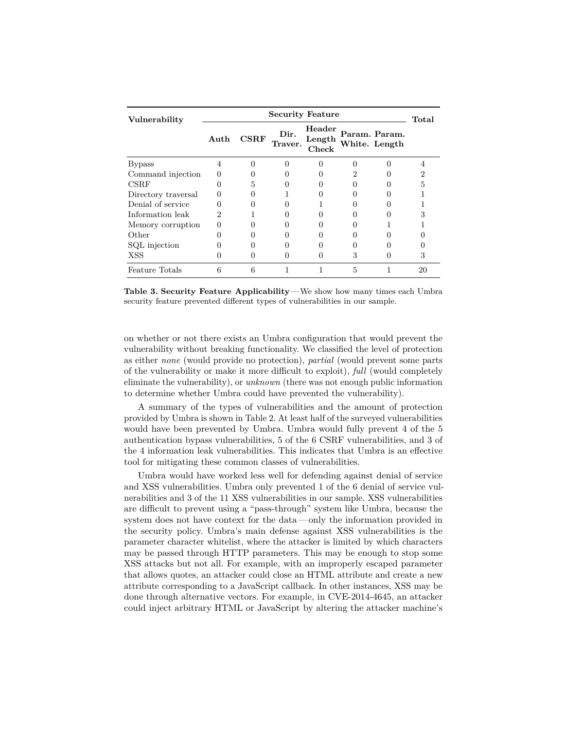<span id="page-10-0"></span>

| Vulnerability         | <b>Security Feature</b> |      |                 |                                   |   |                                | Total |
|-----------------------|-------------------------|------|-----------------|-----------------------------------|---|--------------------------------|-------|
|                       | Auth                    | CSRF | Dir.<br>Traver. | Header<br>Length<br>${\rm Check}$ |   | Param. Param.<br>White. Length |       |
| <b>Bypass</b>         | 4                       |      |                 |                                   |   |                                |       |
| Command injection     |                         |      |                 |                                   | 2 |                                | 2     |
| CSRF                  |                         | 5    |                 |                                   |   |                                | 5     |
| Directory traversal   | 0                       |      |                 |                                   |   |                                |       |
| Denial of service     |                         |      |                 |                                   |   |                                |       |
| Information leak      | $\mathcal{D}$           |      |                 |                                   |   |                                |       |
| Memory corruption     |                         |      |                 |                                   |   |                                |       |
| Other                 |                         |      |                 |                                   |   |                                |       |
| SQL injection         |                         |      |                 |                                   |   |                                |       |
| <b>XSS</b>            |                         |      |                 |                                   | 3 |                                | 3     |
| <b>Feature Totals</b> | 6                       | 6    |                 |                                   | 5 |                                | 20    |

**Table 3. Security Feature Applicability**—We show how many times each Umbra security feature prevented different types of vulnerabilities in our sample.

on whether or not there exists an Umbra configuration that would prevent the vulnerability without breaking functionality. We classified the level of protection as either *none* (would provide no protection), *partial* (would prevent some parts of the vulnerability or make it more difficult to exploit), *full* (would completely eliminate the vulnerability), or *unknown* (there was not enough public information to determine whether Umbra could have prevented the vulnerability).

A summary of the types of vulnerabilities and the amount of protection provided by Umbra is shown in Table [2.](#page-9-0) At least half of the surveyed vulnerabilities would have been prevented by Umbra. Umbra would fully prevent 4 of the 5 authentication bypass vulnerabilities, 5 of the 6 CSRF vulnerabilities, and 3 of the 4 information leak vulnerabilities. This indicates that Umbra is an effective tool for mitigating these common classes of vulnerabilities.

Umbra would have worked less well for defending against denial of service and XSS vulnerabilities. Umbra only prevented 1 of the 6 denial of service vulnerabilities and 3 of the 11 XSS vulnerabilities in our sample. XSS vulnerabilities are difficult to prevent using a "pass-through" system like Umbra, because the system does not have context for the data— only the information provided in the security policy. Umbra's main defense against XSS vulnerabilities is the parameter character whitelist, where the attacker is limited by which characters may be passed through HTTP parameters. This may be enough to stop some XSS attacks but not all. For example, with an improperly escaped parameter that allows quotes, an attacker could close an HTML attribute and create a new attribute corresponding to a JavaScript callback. In other instances, XSS may be done through alternative vectors. For example, in CVE-2014-4645, an attacker could inject arbitrary HTML or JavaScript by altering the attacker machine's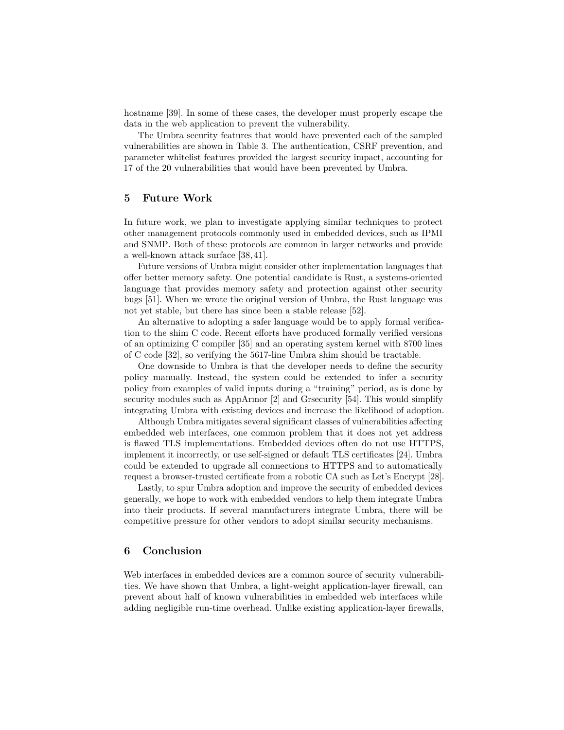hostname [\[39\]](#page-14-16). In some of these cases, the developer must properly escape the data in the web application to prevent the vulnerability.

The Umbra security features that would have prevented each of the sampled vulnerabilities are shown in Table [3.](#page-10-0) The authentication, CSRF prevention, and parameter whitelist features provided the largest security impact, accounting for 17 of the 20 vulnerabilities that would have been prevented by Umbra.

# **5 Future Work**

In future work, we plan to investigate applying similar techniques to protect other management protocols commonly used in embedded devices, such as IPMI and SNMP. Both of these protocols are common in larger networks and provide a well-known attack surface [\[38,](#page-14-17) [41\]](#page-14-18).

Future versions of Umbra might consider other implementation languages that offer better memory safety. One potential candidate is Rust, a systems-oriented language that provides memory safety and protection against other security bugs [\[51\]](#page-14-19). When we wrote the original version of Umbra, the Rust language was not yet stable, but there has since been a stable release [\[52\]](#page-14-20).

An alternative to adopting a safer language would be to apply formal verification to the shim C code. Recent efforts have produced formally verified versions of an optimizing C compiler [\[35\]](#page-13-17) and an operating system kernel with 8700 lines of C code [\[32\]](#page-13-18), so verifying the 5617-line Umbra shim should be tractable.

One downside to Umbra is that the developer needs to define the security policy manually. Instead, the system could be extended to infer a security policy from examples of valid inputs during a "training" period, as is done by security modules such as AppArmor [\[2\]](#page-12-13) and Grsecurity [\[54\]](#page-14-21). This would simplify integrating Umbra with existing devices and increase the likelihood of adoption.

Although Umbra mitigates several significant classes of vulnerabilities affecting embedded web interfaces, one common problem that it does not yet address is flawed TLS implementations. Embedded devices often do not use HTTPS, implement it incorrectly, or use self-signed or default TLS certificates [\[24\]](#page-13-19). Umbra could be extended to upgrade all connections to HTTPS and to automatically request a browser-trusted certificate from a robotic CA such as Let's Encrypt [\[28\]](#page-13-20).

Lastly, to spur Umbra adoption and improve the security of embedded devices generally, we hope to work with embedded vendors to help them integrate Umbra into their products. If several manufacturers integrate Umbra, there will be competitive pressure for other vendors to adopt similar security mechanisms.

#### **6 Conclusion**

Web interfaces in embedded devices are a common source of security vulnerabilities. We have shown that Umbra, a light-weight application-layer firewall, can prevent about half of known vulnerabilities in embedded web interfaces while adding negligible run-time overhead. Unlike existing application-layer firewalls,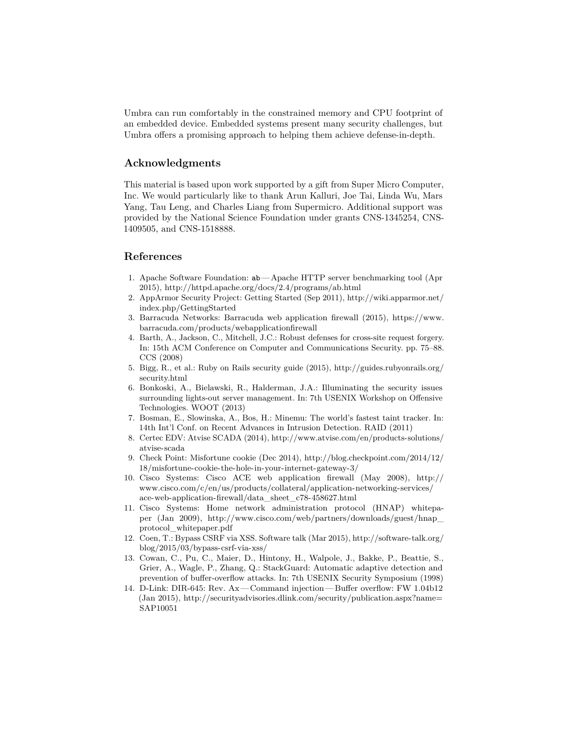Umbra can run comfortably in the constrained memory and CPU footprint of an embedded device. Embedded systems present many security challenges, but Umbra offers a promising approach to helping them achieve defense-in-depth.

# **Acknowledgments**

This material is based upon work supported by a gift from Super Micro Computer, Inc. We would particularly like to thank Arun Kalluri, Joe Tai, Linda Wu, Mars Yang, Tau Leng, and Charles Liang from Supermicro. Additional support was provided by the National Science Foundation under grants CNS-1345254, CNS-1409505, and CNS-1518888.

# **References**

- <span id="page-12-12"></span>1. Apache Software Foundation: ab—Apache HTTP server benchmarking tool (Apr 2015), <http://httpd.apache.org/docs/2.4/programs/ab.html>
- <span id="page-12-13"></span>2. AppArmor Security Project: Getting Started (Sep 2011), [http://wiki.apparmor.net/](http://wiki.apparmor.net/index.php/GettingStarted) [index.php/GettingStarted](http://wiki.apparmor.net/index.php/GettingStarted)
- <span id="page-12-5"></span>3. Barracuda Networks: Barracuda web application firewall (2015), [https://www.](https://www.barracuda.com/products/webapplicationfirewall) [barracuda.com/products/webapplicationfirewall](https://www.barracuda.com/products/webapplicationfirewall)
- <span id="page-12-8"></span>4. Barth, A., Jackson, C., Mitchell, J.C.: Robust defenses for cross-site request forgery. In: 15th ACM Conference on Computer and Communications Security. pp. 75–88. CCS (2008)
- <span id="page-12-9"></span>5. Bigg, R., et al.: Ruby on Rails security guide (2015), [http://guides.rubyonrails.org/](http://guides.rubyonrails.org/security.html) [security.html](http://guides.rubyonrails.org/security.html)
- <span id="page-12-1"></span>6. Bonkoski, A., Bielawski, R., Halderman, J.A.: Illuminating the security issues surrounding lights-out server management. In: 7th USENIX Workshop on Offensive Technologies. WOOT (2013)
- <span id="page-12-4"></span>7. Bosman, E., Slowinska, A., Bos, H.: Minemu: The world's fastest taint tracker. In: 14th Int'l Conf. on Recent Advances in Intrusion Detection. RAID (2011)
- <span id="page-12-0"></span>8. Certec EDV: Atvise SCADA (2014), [http://www.atvise.com/en/products-solutions/](http://www.atvise.com/en/products-solutions/atvise-scada) [atvise-scada](http://www.atvise.com/en/products-solutions/atvise-scada)
- <span id="page-12-2"></span>9. Check Point: Misfortune cookie (Dec 2014), [http://blog.checkpoint.com/2014/12/](http://blog.checkpoint.com/2014/12/18/misfortune-cookie-the-hole-in-your-internet-gateway-3/) [18/misfortune-cookie-the-hole-in-your-internet-gateway-3/](http://blog.checkpoint.com/2014/12/18/misfortune-cookie-the-hole-in-your-internet-gateway-3/)
- <span id="page-12-6"></span>10. Cisco Systems: Cisco ACE web application firewall (May 2008), [http://](http://www.cisco.com/c/en/us/products/collateral/application-networking-services/ace-web-application-firewall/data_sheet_c78-458627.html) [www.cisco.com/c/en/us/products/collateral/application-networking-services/](http://www.cisco.com/c/en/us/products/collateral/application-networking-services/ace-web-application-firewall/data_sheet_c78-458627.html) [ace-web-application-firewall/data\\_sheet\\_c78-458627.html](http://www.cisco.com/c/en/us/products/collateral/application-networking-services/ace-web-application-firewall/data_sheet_c78-458627.html)
- <span id="page-12-7"></span>11. Cisco Systems: Home network administration protocol (HNAP) whitepaper (Jan 2009), [http://www.cisco.com/web/partners/downloads/guest/hnap\\_](http://www.cisco.com/web/partners/downloads/guest/hnap_protocol_whitepaper.pdf) [protocol\\_whitepaper.pdf](http://www.cisco.com/web/partners/downloads/guest/hnap_protocol_whitepaper.pdf)
- <span id="page-12-10"></span>12. Coen, T.: Bypass CSRF via XSS. Software talk (Mar 2015), [http://software-talk.org/](http://software-talk.org/blog/2015/03/bypass-csrf-via-xss/) [blog/2015/03/bypass-csrf-via-xss/](http://software-talk.org/blog/2015/03/bypass-csrf-via-xss/)
- <span id="page-12-3"></span>13. Cowan, C., Pu, C., Maier, D., Hintony, H., Walpole, J., Bakke, P., Beattie, S., Grier, A., Wagle, P., Zhang, Q.: StackGuard: Automatic adaptive detection and prevention of buffer-overflow attacks. In: 7th USENIX Security Symposium (1998)
- <span id="page-12-11"></span>14. D-Link: DIR-645: Rev. Ax—Command injection—Buffer overflow: FW 1.04b12 (Jan 2015), [http://securityadvisories.dlink.com/security/publication.aspx?name=](http://securityadvisories.dlink.com/security/publication.aspx?name=SAP10051) [SAP10051](http://securityadvisories.dlink.com/security/publication.aspx?name=SAP10051)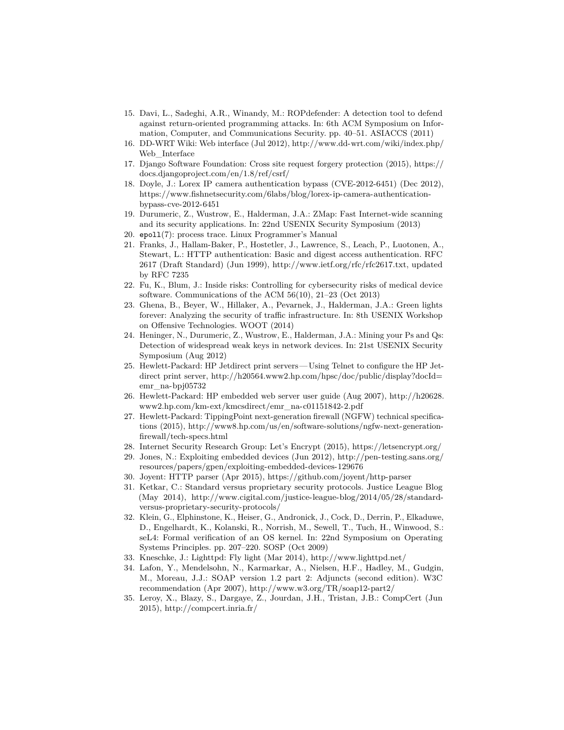- <span id="page-13-4"></span>15. Davi, L., Sadeghi, A.R., Winandy, M.: ROPdefender: A detection tool to defend against return-oriented programming attacks. In: 6th ACM Symposium on Information, Computer, and Communications Security. pp. 40–51. ASIACCS (2011)
- <span id="page-13-0"></span>16. DD-WRT Wiki: Web interface (Jul 2012), [http://www.dd-wrt.com/wiki/index.php/](http://www.dd-wrt.com/wiki/index.php/Web_Interface) Web Interface
- <span id="page-13-12"></span>17. Django Software Foundation: Cross site request forgery protection (2015), [https://](https://docs.djangoproject.com/en/1.8/ref/csrf/) [docs.djangoproject.com/en/1.8/ref/csrf/](https://docs.djangoproject.com/en/1.8/ref/csrf/)
- <span id="page-13-13"></span>18. Doyle, J.: Lorex IP camera authentication bypass (CVE-2012-6451) (Dec 2012), [https://www.fishnetsecurity.com/6labs/blog/lorex-ip-camera-authentication](https://www.fishnetsecurity.com/6labs/blog/lorex-ip-camera-authentication-bypass-cve-2012-6451)[bypass-cve-2012-6451](https://www.fishnetsecurity.com/6labs/blog/lorex-ip-camera-authentication-bypass-cve-2012-6451)
- <span id="page-13-8"></span>19. Durumeric, Z., Wustrow, E., Halderman, J.A.: ZMap: Fast Internet-wide scanning and its security applications. In: 22nd USENIX Security Symposium (2013)
- <span id="page-13-15"></span>20. epoll(7): process trace. Linux Programmer's Manual
- <span id="page-13-14"></span>21. Franks, J., Hallam-Baker, P., Hostetler, J., Lawrence, S., Leach, P., Luotonen, A., Stewart, L.: HTTP authentication: Basic and digest access authentication. RFC 2617 (Draft Standard) (Jun 1999), [http://www.ietf.org/rfc/rfc2617.txt,](http://www.ietf.org/rfc/rfc2617.txt) updated by RFC 7235
- <span id="page-13-2"></span>22. Fu, K., Blum, J.: Inside risks: Controlling for cybersecurity risks of medical device software. Communications of the ACM 56(10), 21–23 (Oct 2013)
- <span id="page-13-7"></span>23. Ghena, B., Beyer, W., Hillaker, A., Pevarnek, J., Halderman, J.A.: Green lights forever: Analyzing the security of traffic infrastructure. In: 8th USENIX Workshop on Offensive Technologies. WOOT (2014)
- <span id="page-13-19"></span>24. Heninger, N., Durumeric, Z., Wustrow, E., Halderman, J.A.: Mining your Ps and Qs: Detection of widespread weak keys in network devices. In: 21st USENIX Security Symposium (Aug 2012)
- <span id="page-13-9"></span>25. Hewlett-Packard: HP Jetdirect print servers—Using Telnet to configure the HP Jetdirect print server, [http://h20564.www2.hp.com/hpsc/doc/public/display?docId=](http://h20564.www2.hp.com/hpsc/doc/public/display?docId=emr_na-bpj05732) [emr\\_na-bpj05732](http://h20564.www2.hp.com/hpsc/doc/public/display?docId=emr_na-bpj05732)
- <span id="page-13-1"></span>26. Hewlett-Packard: HP embedded web server user guide (Aug 2007), [http://h20628.](http://h20628.www2.hp.com/km-ext/kmcsdirect/emr_na-c01151842-2.pdf) [www2.hp.com/km-ext/kmcsdirect/emr\\_na-c01151842-2.pdf](http://h20628.www2.hp.com/km-ext/kmcsdirect/emr_na-c01151842-2.pdf)
- <span id="page-13-5"></span>27. Hewlett-Packard: TippingPoint next-generation firewall (NGFW) technical specifications (2015), [http://www8.hp.com/us/en/software-solutions/ngfw-next-generation](http://www8.hp.com/us/en/software-solutions/ngfw-next-generation-firewall/tech-specs.html)[firewall/tech-specs.html](http://www8.hp.com/us/en/software-solutions/ngfw-next-generation-firewall/tech-specs.html)
- <span id="page-13-20"></span>28. Internet Security Research Group: Let's Encrypt (2015), <https://letsencrypt.org/>
- <span id="page-13-3"></span>29. Jones, N.: Exploiting embedded devices (Jun 2012), [http://pen-testing.sans.org/](http://pen-testing.sans.org/resources/papers/gpen/exploiting-embedded-devices-129676) [resources/papers/gpen/exploiting-embedded-devices-129676](http://pen-testing.sans.org/resources/papers/gpen/exploiting-embedded-devices-129676)
- <span id="page-13-16"></span>30. Joyent: HTTP parser (Apr 2015), <https://github.com/joyent/http-parser>
- <span id="page-13-10"></span>31. Ketkar, C.: Standard versus proprietary security protocols. Justice League Blog (May 2014), [http://www.cigital.com/justice-league-blog/2014/05/28/standard](http://www.cigital.com/justice-league-blog/2014/05/28/standard-versus-proprietary-security-protocols/)[versus-proprietary-security-protocols/](http://www.cigital.com/justice-league-blog/2014/05/28/standard-versus-proprietary-security-protocols/)
- <span id="page-13-18"></span>32. Klein, G., Elphinstone, K., Heiser, G., Andronick, J., Cock, D., Derrin, P., Elkaduwe, D., Engelhardt, K., Kolanski, R., Norrish, M., Sewell, T., Tuch, H., Winwood, S.: seL4: Formal verification of an OS kernel. In: 22nd Symposium on Operating Systems Principles. pp. 207–220. SOSP (Oct 2009)
- <span id="page-13-6"></span>33. Kneschke, J.: Lighttpd: Fly light (Mar 2014), <http://www.lighttpd.net/>
- <span id="page-13-11"></span>34. Lafon, Y., Mendelsohn, N., Karmarkar, A., Nielsen, H.F., Hadley, M., Gudgin, M., Moreau, J.J.: SOAP version 1.2 part 2: Adjuncts (second edition). W3C recommendation (Apr 2007), <http://www.w3.org/TR/soap12-part2/>
- <span id="page-13-17"></span>35. Leroy, X., Blazy, S., Dargaye, Z., Jourdan, J.H., Tristan, J.B.: CompCert (Jun 2015), <http://compcert.inria.fr/>